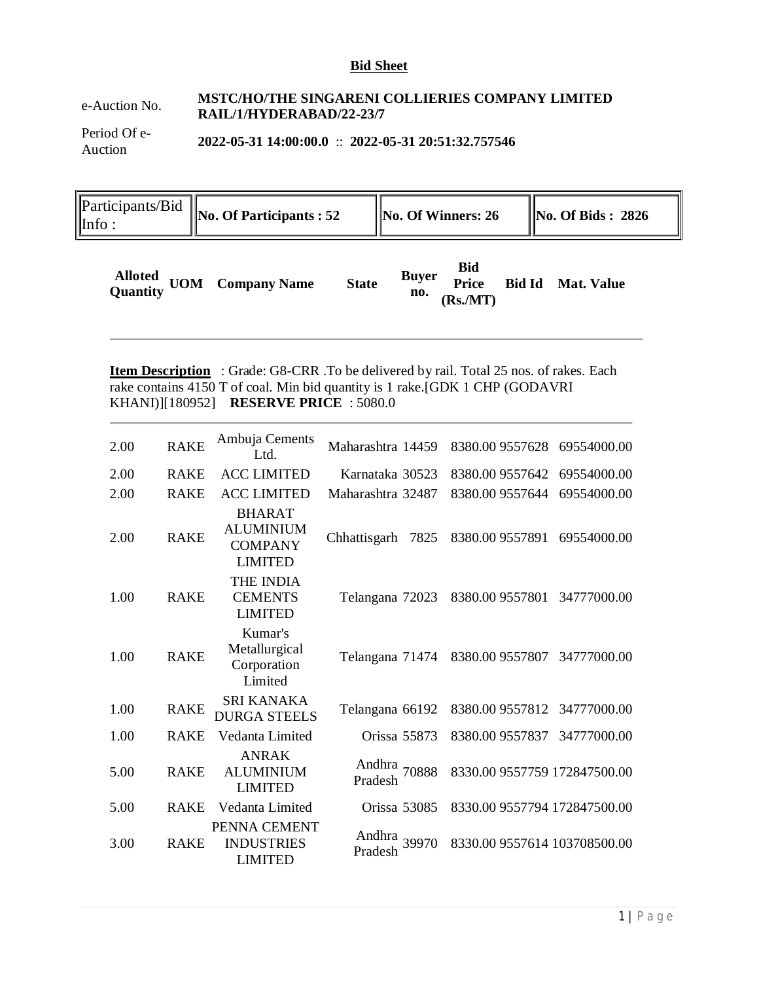#### **Bid Sheet**

## e-Auction No. **MSTC/HO/THE SINGARENI COLLIERIES COMPANY LIMITED RAIL/1/HYDERABAD/22-23/7**

Period Of e-Auction **2022-05-31 14:00:00.0** :: **2022-05-31 20:51:32.757546**

Participants/Bid  $\begin{bmatrix} \text{PartCipants/Big} \\ \text{Info:} \end{bmatrix}$  No. Of Participants : 52 **No. Of Winners: 26**  $\begin{bmatrix} \text{No. Of Bids : 2826} \\ \text{No. Of Bids : 2826} \end{bmatrix}$ 

| <b>Alloted UOM Company Name</b><br>Quantity UOM Company Name | <b>State</b> | <b>Buyer</b><br>no. | <b>Bid</b><br>(Rs/MT) |  | Price Bid Id Mat. Value |
|--------------------------------------------------------------|--------------|---------------------|-----------------------|--|-------------------------|
|--------------------------------------------------------------|--------------|---------------------|-----------------------|--|-------------------------|

**Item Description** : Grade: G8-CRR . To be delivered by rail. Total 25 nos. of rakes. Each rake contains 4150 T of coal. Min bid quantity is 1 rake.[GDK 1 CHP (GODAVRI KHANI)][180952] **RESERVE PRICE** : 5080.0

| 2.00 | <b>RAKE</b> | Ambuja Cements<br>Ltd.                                                | Maharashtra 14459       | 8380.00 9557628 69554000.00  |             |
|------|-------------|-----------------------------------------------------------------------|-------------------------|------------------------------|-------------|
| 2.00 | <b>RAKE</b> | <b>ACC LIMITED</b>                                                    | Karnataka 30523         | 8380.009557642               | 69554000.00 |
| 2.00 | <b>RAKE</b> | <b>ACC LIMITED</b>                                                    | Maharashtra 32487       | 8380.00 9557644              | 69554000.00 |
| 2.00 | <b>RAKE</b> | <b>BHARAT</b><br><b>ALUMINIUM</b><br><b>COMPANY</b><br><b>LIMITED</b> | Chhattisgarh<br>7825    | 8380.00 9557891              | 69554000.00 |
| 1.00 | <b>RAKE</b> | <b>THE INDIA</b><br><b>CEMENTS</b><br><b>LIMITED</b>                  | Telangana 72023         | 8380.00 9557801              | 34777000.00 |
| 1.00 | <b>RAKE</b> | Kumar's<br>Metallurgical<br>Corporation<br>Limited                    | Telangana 71474         | 8380.00 9557807              | 34777000.00 |
| 1.00 | <b>RAKE</b> | <b>SRI KANAKA</b><br><b>DURGA STEELS</b>                              | Telangana 66192         | 8380.00 9557812 34777000.00  |             |
| 1.00 | <b>RAKE</b> | Vedanta Limited                                                       | Orissa 55873            | 8380.009557837               | 34777000.00 |
| 5.00 | <b>RAKE</b> | <b>ANRAK</b><br><b>ALUMINIUM</b><br><b>LIMITED</b>                    | Andhra 70888<br>Pradesh | 8330.00 9557759 172847500.00 |             |
| 5.00 | <b>RAKE</b> | Vedanta Limited                                                       | Orissa 53085            | 8330.00 9557794 172847500.00 |             |
| 3.00 | <b>RAKE</b> | PENNA CEMENT<br><b>INDUSTRIES</b><br><b>LIMITED</b>                   | Andhra 39970<br>Pradesh | 8330.00 9557614 103708500.00 |             |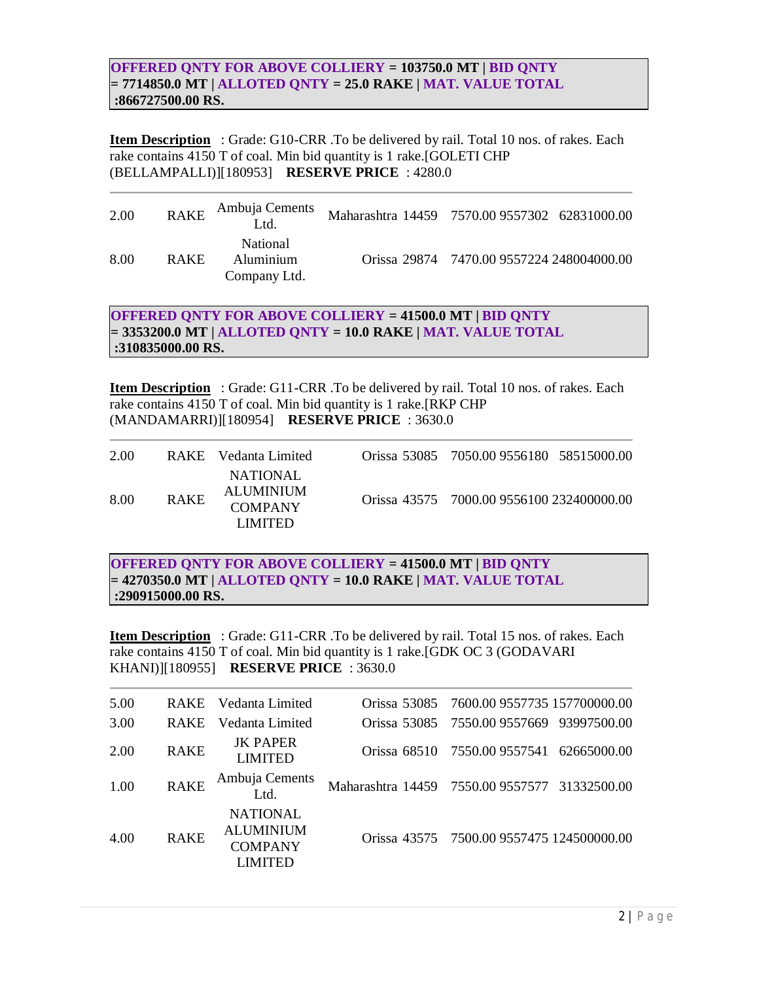#### **OFFERED QNTY FOR ABOVE COLLIERY = 103750.0 MT | BID QNTY = 7714850.0 MT | ALLOTED QNTY = 25.0 RAKE | MAT. VALUE TOTAL :866727500.00 RS.**

**Item Description** : Grade: G10-CRR .To be delivered by rail. Total 10 nos. of rakes. Each rake contains 4150 T of coal. Min bid quantity is 1 rake.[GOLETI CHP (BELLAMPALLI)][180953] **RESERVE PRICE** : 4280.0

| 2.00 | <b>RAKE</b> | Ambuja Cements<br>Ltd.                       | Maharashtra 14459 7570.00 9557302 62831000.00 |                                           |  |
|------|-------------|----------------------------------------------|-----------------------------------------------|-------------------------------------------|--|
| 8.00 | <b>RAKE</b> | <b>National</b><br>Aluminium<br>Company Ltd. |                                               | Orissa 29874 7470.00 9557224 248004000.00 |  |

**OFFERED QNTY FOR ABOVE COLLIERY = 41500.0 MT | BID QNTY = 3353200.0 MT | ALLOTED QNTY = 10.0 RAKE | MAT. VALUE TOTAL :310835000.00 RS.**

**Item Description** : Grade: G11-CRR .To be delivered by rail. Total 10 nos. of rakes. Each rake contains 4150 T of coal. Min bid quantity is 1 rake.[RKP CHP (MANDAMARRI)][180954] **RESERVE PRICE** : 3630.0

| 2.00 |             | RAKE Vedanta Limited                                 | Orissa 53085 7050.00 9556180 58515000.00  |  |
|------|-------------|------------------------------------------------------|-------------------------------------------|--|
| 8.00 | <b>RAKE</b> | NATIONAL.<br>ALUMINIUM<br><b>COMPANY</b><br>LIMITED. | Orissa 43575 7000.00 9556100 232400000.00 |  |

**OFFERED QNTY FOR ABOVE COLLIERY = 41500.0 MT | BID QNTY = 4270350.0 MT | ALLOTED QNTY = 10.0 RAKE | MAT. VALUE TOTAL :290915000.00 RS.**

**Item Description** : Grade: G11-CRR .To be delivered by rail. Total 15 nos. of rakes. Each rake contains 4150 T of coal. Min bid quantity is 1 rake.[GDK OC 3 (GODAVARI KHANI)][180955] **RESERVE PRICE** : 3630.0

| 5.00 |             | RAKE Vedanta Limited                                                    | Orissa 53085 7600.00 9557735 157700000.00     |
|------|-------------|-------------------------------------------------------------------------|-----------------------------------------------|
| 3.00 | <b>RAKE</b> | Vedanta Limited                                                         | Orissa 53085 7550.00 9557669 93997500.00      |
| 2.00 | <b>RAKE</b> | <b>JK PAPER</b><br><b>LIMITED</b>                                       | Orissa 68510 7550.00 9557541 62665000.00      |
| 1.00 | <b>RAKE</b> | Ambuja Cements<br>Ltd.                                                  | Maharashtra 14459 7550.00 9557577 31332500.00 |
| 4.00 | <b>RAKE</b> | <b>NATIONAL</b><br><b>ALUMINIUM</b><br><b>COMPANY</b><br><b>LIMITED</b> | Orissa 43575 7500.00 9557475 124500000.00     |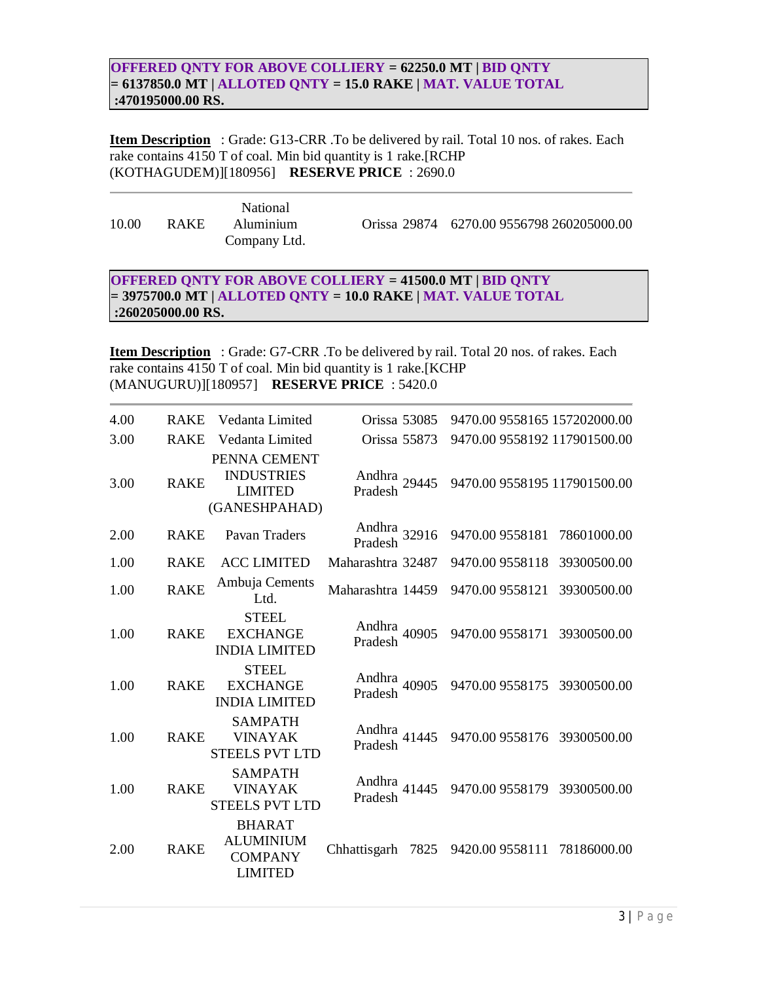#### **OFFERED QNTY FOR ABOVE COLLIERY = 62250.0 MT | BID QNTY = 6137850.0 MT | ALLOTED QNTY = 15.0 RAKE | MAT. VALUE TOTAL :470195000.00 RS.**

**Item Description** : Grade: G13-CRR .To be delivered by rail. Total 10 nos. of rakes. Each rake contains 4150 T of coal. Min bid quantity is 1 rake.[RCHP (KOTHAGUDEM)][180956] **RESERVE PRICE** : 2690.0

10.00 RAKE National Aluminium Company Ltd. Orissa 29874 6270.00 9556798 260205000.00

### **OFFERED QNTY FOR ABOVE COLLIERY = 41500.0 MT | BID QNTY = 3975700.0 MT | ALLOTED QNTY = 10.0 RAKE | MAT. VALUE TOTAL :260205000.00 RS.**

**Item Description** : Grade: G7-CRR .To be delivered by rail. Total 20 nos. of rakes. Each rake contains 4150 T of coal. Min bid quantity is 1 rake.[KCHP (MANUGURU)][180957] **RESERVE PRICE** : 5420.0

| 4.00 | <b>RAKE</b> | Vedanta Limited                                                       | Orissa 53085              | 9470.00 9558165 157202000.00   |
|------|-------------|-----------------------------------------------------------------------|---------------------------|--------------------------------|
| 3.00 | <b>RAKE</b> | Vedanta Limited                                                       | Orissa 55873              | 9470.00 9558192 117901500.00   |
| 3.00 | <b>RAKE</b> | PENNA CEMENT<br><b>INDUSTRIES</b><br><b>LIMITED</b><br>(GANESHPAHAD)  | Andhra $29445$<br>Pradesh | 9470.00 9558195 117901500.00   |
| 2.00 | <b>RAKE</b> | Pavan Traders                                                         | Andhra 32916<br>Pradesh   | 9470.00 9558181<br>78601000.00 |
| 1.00 | <b>RAKE</b> | <b>ACC LIMITED</b>                                                    | Maharashtra 32487         | 39300500.00<br>9470.00 9558118 |
| 1.00 | <b>RAKE</b> | Ambuja Cements<br>Ltd.                                                | Maharashtra 14459         | 9470.00 9558121<br>39300500.00 |
| 1.00 | <b>RAKE</b> | <b>STEEL</b><br><b>EXCHANGE</b><br><b>INDIA LIMITED</b>               | Andhra 40905<br>Pradesh   | 9470.00 9558171 39300500.00    |
| 1.00 | <b>RAKE</b> | <b>STEEL</b><br><b>EXCHANGE</b><br><b>INDIA LIMITED</b>               | Andhra 40905<br>Pradesh   | 9470.00 9558175 39300500.00    |
| 1.00 | <b>RAKE</b> | <b>SAMPATH</b><br><b>VINAYAK</b><br><b>STEELS PVT LTD</b>             | Andhra 41445<br>Pradesh   | 9470.00 9558176 39300500.00    |
| 1.00 | <b>RAKE</b> | <b>SAMPATH</b><br><b>VINAYAK</b><br><b>STEELS PVT LTD</b>             | Andhra 41445<br>Pradesh   | 9470.00 9558179<br>39300500.00 |
| 2.00 | <b>RAKE</b> | <b>BHARAT</b><br><b>ALUMINIUM</b><br><b>COMPANY</b><br><b>LIMITED</b> | Chhattisgarh<br>7825      | 78186000.00<br>9420.00 9558111 |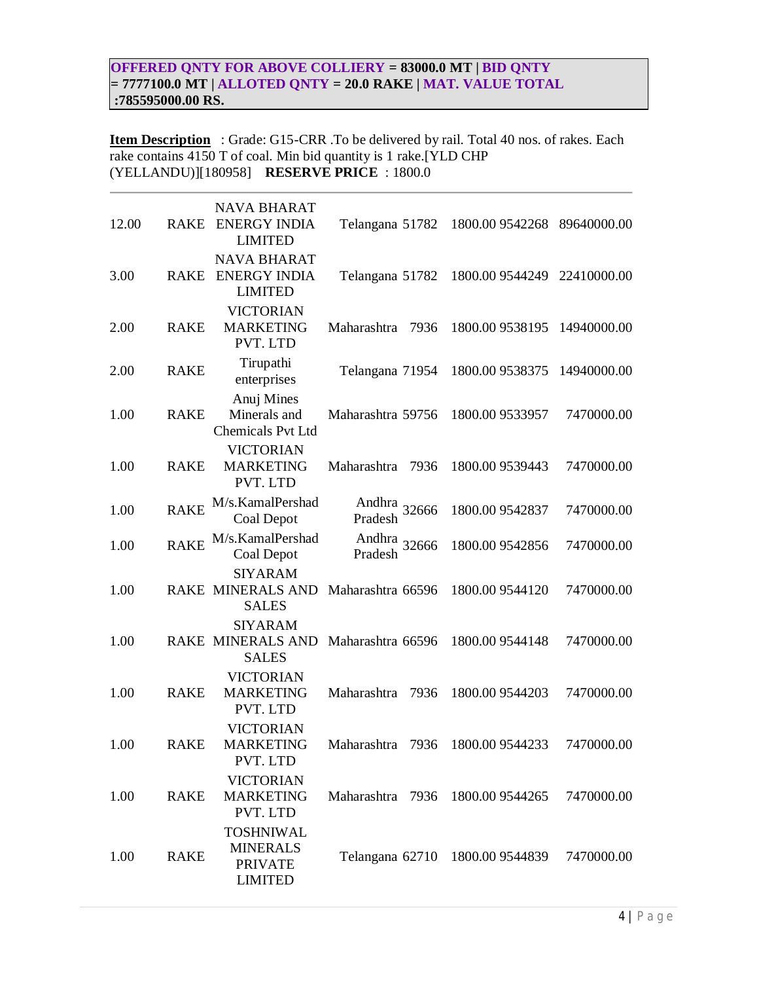## **OFFERED QNTY FOR ABOVE COLLIERY = 83000.0 MT | BID QNTY = 7777100.0 MT | ALLOTED QNTY = 20.0 RAKE | MAT. VALUE TOTAL :785595000.00 RS.**

**Item Description** : Grade: G15-CRR .To be delivered by rail. Total 40 nos. of rakes. Each rake contains 4150 T of coal. Min bid quantity is 1 rake.[YLD CHP (YELLANDU)][180958] **RESERVE PRICE** : 1800.0

| 12.00 | <b>RAKE</b> | <b>NAVA BHARAT</b><br><b>ENERGY INDIA</b><br><b>LIMITED</b>             | Telangana 51782                  | 1800.00 9542268 89640000.00     |             |
|-------|-------------|-------------------------------------------------------------------------|----------------------------------|---------------------------------|-------------|
| 3.00  | <b>RAKE</b> | <b>NAVA BHARAT</b><br><b>ENERGY INDIA</b><br><b>LIMITED</b>             | Telangana 51782                  | 1800.00 9544249                 | 22410000.00 |
| 2.00  | <b>RAKE</b> | <b>VICTORIAN</b><br><b>MARKETING</b><br>PVT. LTD                        | Maharashtra<br>7936              | 1800.00 9538195                 | 14940000.00 |
| 2.00  | <b>RAKE</b> | Tirupathi<br>enterprises                                                | Telangana 71954                  | 1800.00 9538375                 | 14940000.00 |
| 1.00  | <b>RAKE</b> | Anuj Mines<br>Minerals and<br><b>Chemicals Pvt Ltd</b>                  | Maharashtra 59756                | 1800.00 9533957                 | 7470000.00  |
| 1.00  | <b>RAKE</b> | <b>VICTORIAN</b><br><b>MARKETING</b><br>PVT. LTD                        | Maharashtra<br>7936              | 1800.00 9539443                 | 7470000.00  |
| 1.00  | <b>RAKE</b> | M/s.KamalPershad<br>Coal Depot                                          | Andhra 32666<br>Pradesh          | 1800.00 9542837                 | 7470000.00  |
| 1.00  | <b>RAKE</b> | M/s.KamalPershad<br>Coal Depot                                          | Andhra<br>Pradesh 32666          | 1800.00 9542856                 | 7470000.00  |
| 1.00  |             | <b>SIYARAM</b><br>RAKE MINERALS AND<br><b>SALES</b>                     | Maharashtra 66596                | 1800.00 9544120                 | 7470000.00  |
| 1.00  |             | <b>SIYARAM</b><br>RAKE MINERALS AND<br><b>SALES</b>                     | Maharashtra 66596                | 1800.00 9544148                 | 7470000.00  |
| 1.00  | <b>RAKE</b> | <b>VICTORIAN</b><br><b>MARKETING</b><br>PVT. LTD                        | Maharashtra<br>7936              | 1800.00 9544203                 | 7470000.00  |
| 1.00  | <b>RAKE</b> | <b>VICTORIAN</b><br><b>MARKETING</b><br>PVT. LTD                        | Maharashtra<br>7936              | 1800.00 9544233                 | 7470000.00  |
| 1.00  | <b>RAKE</b> | <b>VICTORIAN</b><br><b>MARKETING</b><br>PVT. LTD                        | Maharashtra 7936 1800.00 9544265 |                                 | 7470000.00  |
| 1.00  | <b>RAKE</b> | <b>TOSHNIWAL</b><br><b>MINERALS</b><br><b>PRIVATE</b><br><b>LIMITED</b> |                                  | Telangana 62710 1800.00 9544839 | 7470000.00  |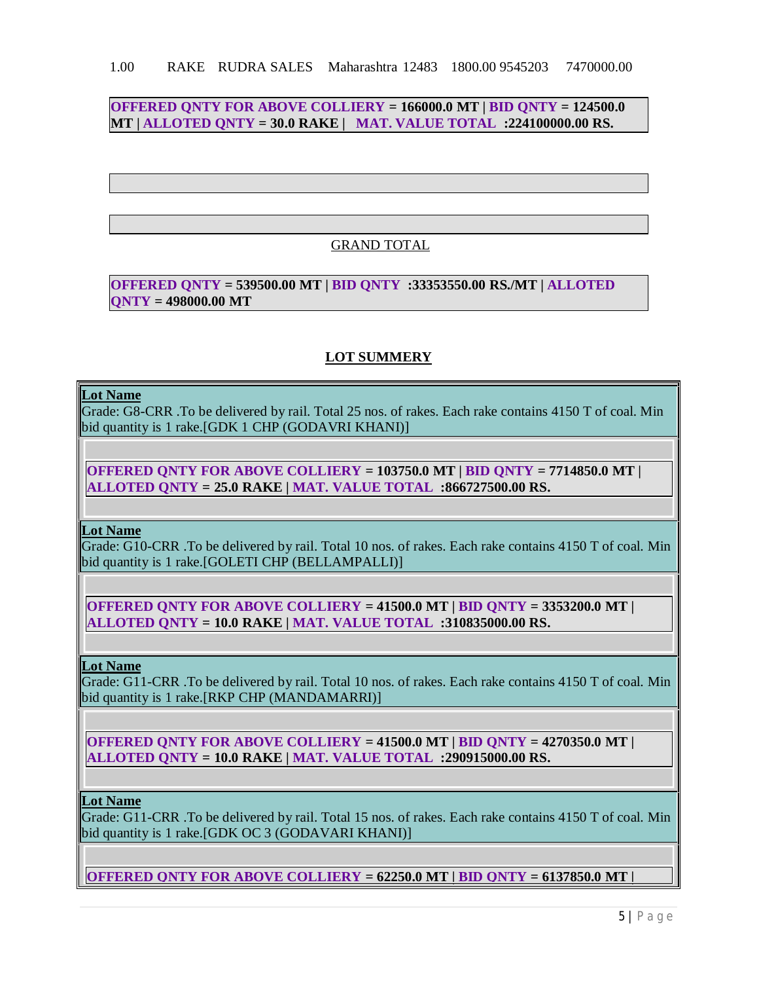## **OFFERED QNTY FOR ABOVE COLLIERY = 166000.0 MT | BID QNTY = 124500.0 MT | ALLOTED QNTY = 30.0 RAKE | MAT. VALUE TOTAL :224100000.00 RS.**

## GRAND TOTAL

### **OFFERED QNTY = 539500.00 MT | BID QNTY :33353550.00 RS./MT | ALLOTED QNTY = 498000.00 MT**

## **LOT SUMMERY**

#### **Lot Name**

Grade: G8-CRR .To be delivered by rail. Total 25 nos. of rakes. Each rake contains 4150 T of coal. Min bid quantity is 1 rake.[GDK 1 CHP (GODAVRI KHANI)]

**OFFERED QNTY FOR ABOVE COLLIERY = 103750.0 MT | BID QNTY = 7714850.0 MT | ALLOTED QNTY = 25.0 RAKE | MAT. VALUE TOTAL :866727500.00 RS.**

**Lot Name**

Grade: G10-CRR .To be delivered by rail. Total 10 nos. of rakes. Each rake contains 4150 T of coal. Min bid quantity is 1 rake.[GOLETI CHP (BELLAMPALLI)]

**OFFERED QNTY FOR ABOVE COLLIERY = 41500.0 MT | BID QNTY = 3353200.0 MT | ALLOTED QNTY = 10.0 RAKE | MAT. VALUE TOTAL :310835000.00 RS.**

**Lot Name**

Grade: G11-CRR .To be delivered by rail. Total 10 nos. of rakes. Each rake contains 4150 T of coal. Min bid quantity is 1 rake.[RKP CHP (MANDAMARRI)]

**OFFERED QNTY FOR ABOVE COLLIERY = 41500.0 MT | BID QNTY = 4270350.0 MT | ALLOTED QNTY = 10.0 RAKE | MAT. VALUE TOTAL :290915000.00 RS.**

**Lot Name**

Grade: G11-CRR .To be delivered by rail. Total 15 nos. of rakes. Each rake contains 4150 T of coal. Min bid quantity is 1 rake.[GDK OC 3 (GODAVARI KHANI)]

**OFFERED QNTY FOR ABOVE COLLIERY = 62250.0 MT | BID QNTY = 6137850.0 MT |**